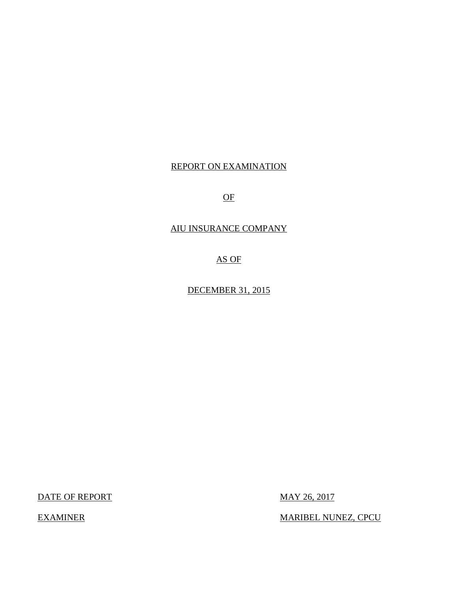# REPORT ON EXAMINATION

OF

# AIU INSURANCE COMPANY

AS OF

DECEMBER 31, 2015

DATE OF REPORT MAY 26, 2017

EXAMINER MARIBEL NUNEZ, CPCU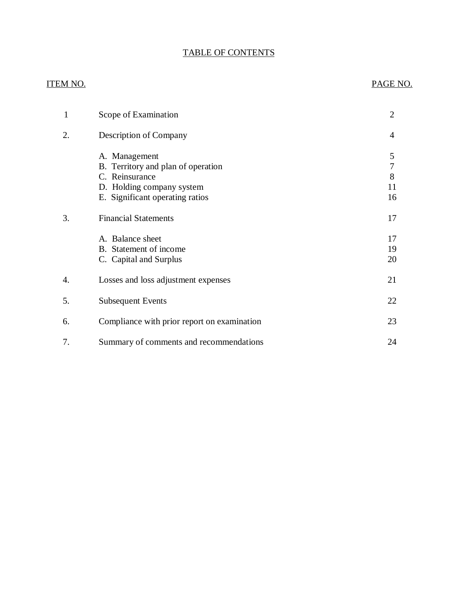# TABLE OF CONTENTS

# ITEM NO. PAGE NO.

| 1  | Scope of Examination                                                                                                                  | $\overline{2}$          |
|----|---------------------------------------------------------------------------------------------------------------------------------------|-------------------------|
| 2. | Description of Company                                                                                                                | 4                       |
|    | A. Management<br>B. Territory and plan of operation<br>C. Reinsurance<br>D. Holding company system<br>E. Significant operating ratios | 5<br>7<br>8<br>11<br>16 |
| 3. | <b>Financial Statements</b>                                                                                                           | 17                      |
|    | A. Balance sheet<br>B. Statement of income<br>C. Capital and Surplus                                                                  | 17<br>19<br>20          |
| 4. | Losses and loss adjustment expenses                                                                                                   | 21                      |
| 5. | <b>Subsequent Events</b>                                                                                                              | 22                      |
| 6. | Compliance with prior report on examination                                                                                           | 23                      |
| 7. | Summary of comments and recommendations                                                                                               | 24                      |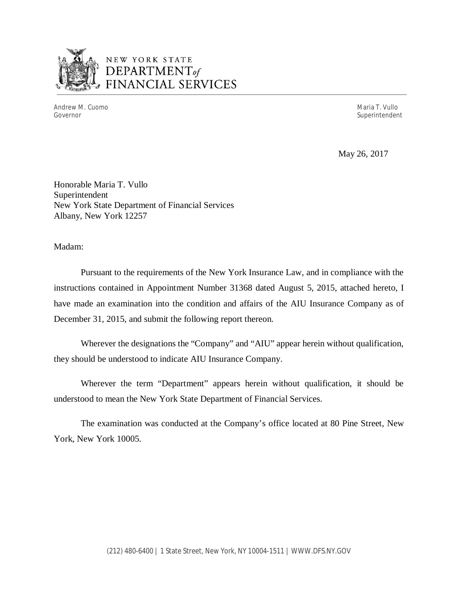

# NEW YORK STATE *DEPARTMENTof*  FINANCIAL SERVICES

Andrew M. Cuomo Maria T. Vullo

Superintendent

May 26, 2017

Honorable Maria T. Vullo Superintendent New York State Department of Financial Services Albany, New York 12257

Madam:

Pursuant to the requirements of the New York Insurance Law, and in compliance with the instructions contained in Appointment Number 31368 dated August 5, 2015, attached hereto, I have made an examination into the condition and affairs of the AIU Insurance Company as of December 31, 2015, and submit the following report thereon.

Wherever the designations the "Company" and "AIU" appear herein without qualification, they should be understood to indicate AIU Insurance Company.

Wherever the term "Department" appears herein without qualification, it should be understood to mean the New York State Department of Financial Services.

The examination was conducted at the Company's office located at 80 Pine Street, New York, New York 10005.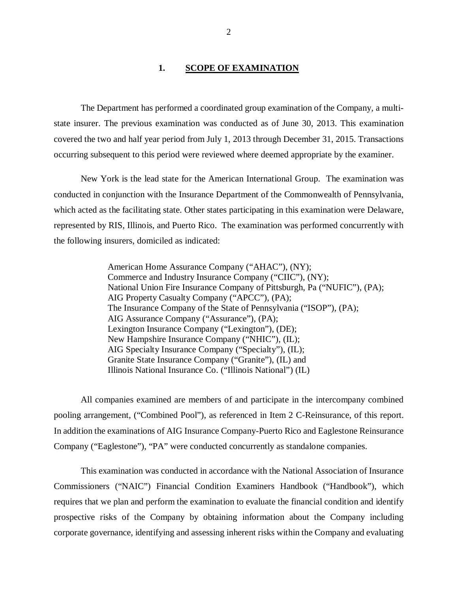### 1. SCOPE OF EXAMINATION

<span id="page-3-0"></span>The Department has performed a coordinated group examination of the Company*,* a multistate insurer. The previous examination was conducted as of June 30, 2013. This examination covered the two and half year period from July 1, 2013 through December 31, 2015. Transactions occurring subsequent to this period were reviewed where deemed appropriate by the examiner.

New York is the lead state for the American International Group. The examination was conducted in conjunction with the Insurance Department of the Commonwealth of Pennsylvania, which acted as the facilitating state. Other states participating in this examination were Delaware, represented by RIS, Illinois, and Puerto Rico. The examination was performed concurrently with the following insurers, domiciled as indicated:

> American Home Assurance Company ("AHAC"), (NY); Commerce and Industry Insurance Company ("CIIC"), (NY); National Union Fire Insurance Company of Pittsburgh, Pa ("NUFIC"), (PA); AIG Property Casualty Company ("APCC"), (PA); The Insurance Company of the State of Pennsylvania ("ISOP"), (PA); AIG Assurance Company ("Assurance"), (PA); Lexington Insurance Company ("Lexington"), (DE); New Hampshire Insurance Company ("NHIC"), (IL); AIG Specialty Insurance Company ("Specialty"), (IL); Granite State Insurance Company ("Granite"), (IL) and Illinois National Insurance Co. ("Illinois National") (IL)

All companies examined are members of and participate in the intercompany combined pooling arrangement, ("Combined Pool"), as referenced in Item 2 C-Reinsurance, of this report. In addition the examinations of AIG Insurance Company-Puerto Rico and Eaglestone Reinsurance Company ("Eaglestone"), "PA" were conducted concurrently as standalone companies.

This examination was conducted in accordance with the National Association of Insurance Commissioners ("NAIC") Financial Condition Examiners Handbook ("Handbook"), which requires that we plan and perform the examination to evaluate the financial condition and identify prospective risks of the Company by obtaining information about the Company including corporate governance, identifying and assessing inherent risks within the Company and evaluating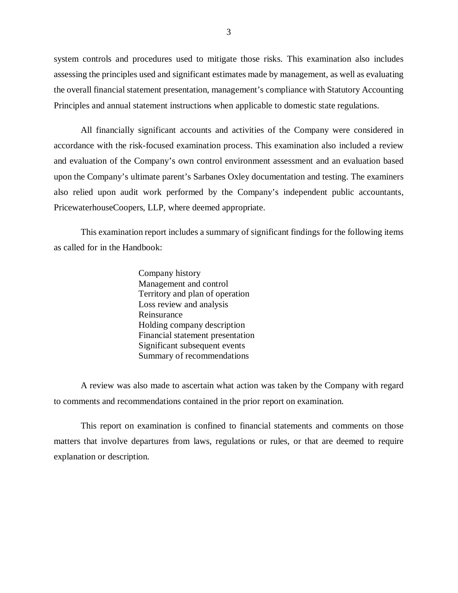system controls and procedures used to mitigate those risks. This examination also includes assessing the principles used and significant estimates made by management, as well as evaluating the overall financial statement presentation, management's compliance with Statutory Accounting Principles and annual statement instructions when applicable to domestic state regulations.

All financially significant accounts and activities of the Company were considered in accordance with the risk-focused examination process. This examination also included a review and evaluation of the Company's own control environment assessment and an evaluation based upon the Company's ultimate parent's Sarbanes Oxley documentation and testing. The examiners also relied upon audit work performed by the Company's independent public accountants, PricewaterhouseCoopers, LLP, where deemed appropriate.

This examination report includes a summary of significant findings for the following items as called for in the Handbook:

> Company history Management and control Territory and plan of operation Loss review and analysis Reinsurance Holding company description Financial statement presentation Significant subsequent events Summary of recommendations

A review was also made to ascertain what action was taken by the Company with regard to comments and recommendations contained in the prior report on examination.

This report on examination is confined to financial statements and comments on those matters that involve departures from laws, regulations or rules, or that are deemed to require explanation or description.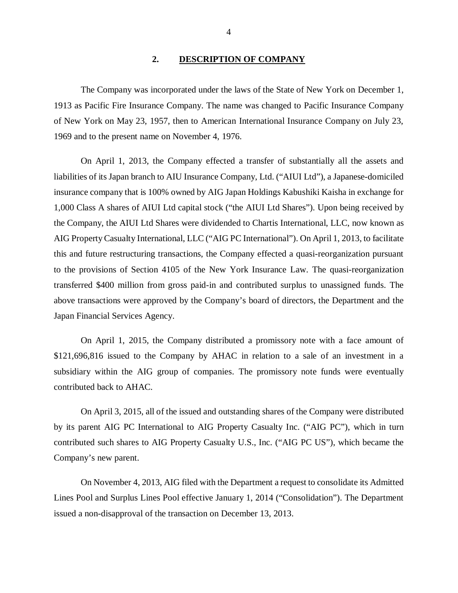#### **2. DESCRIPTION OF COMPANY**

<span id="page-5-0"></span>The Company was incorporated under the laws of the State of New York on December 1, 1913 as Pacific Fire Insurance Company. The name was changed to Pacific Insurance Company of New York on May 23, 1957, then to American International Insurance Company on July 23, 1969 and to the present name on November 4, 1976.

On April 1, 2013, the Company effected a transfer of substantially all the assets and liabilities of its Japan branch to AIU Insurance Company, Ltd. ("AIUI Ltd"), a Japanese-domiciled insurance company that is 100% owned by AIG Japan Holdings Kabushiki Kaisha in exchange for 1,000 Class A shares of AIUI Ltd capital stock ("the AIUI Ltd Shares"). Upon being received by the Company, the AIUI Ltd Shares were dividended to Chartis International, LLC, now known as AIG Property Casualty International, LLC ("AIG PC International"). On April 1, 2013, to facilitate this and future restructuring transactions, the Company effected a quasi-reorganization pursuant to the provisions of Section 4105 of the New York Insurance Law. The quasi-reorganization transferred \$400 million from gross paid-in and contributed surplus to unassigned funds. The above transactions were approved by the Company's board of directors, the Department and the Japan Financial Services Agency.

On April 1, 2015, the Company distributed a promissory note with a face amount of \$121,696,816 issued to the Company by AHAC in relation to a sale of an investment in a subsidiary within the AIG group of companies. The promissory note funds were eventually contributed back to AHAC.

On April 3, 2015, all of the issued and outstanding shares of the Company were distributed by its parent AIG PC International to AIG Property Casualty Inc. ("AIG PC"), which in turn contributed such shares to AIG Property Casualty U.S., Inc. ("AIG PC US"), which became the Company's new parent.

On November 4, 2013, AIG filed with the Department a request to consolidate its Admitted Lines Pool and Surplus Lines Pool effective January 1, 2014 ("Consolidation"). The Department issued a non-disapproval of the transaction on December 13, 2013.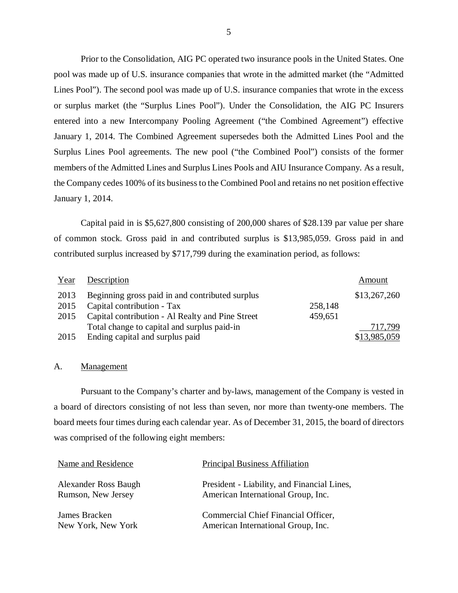Prior to the Consolidation, AIG PC operated two insurance pools in the United States. One pool was made up of U.S. insurance companies that wrote in the admitted market (the "Admitted Lines Pool"). The second pool was made up of U.S. insurance companies that wrote in the excess or surplus market (the "Surplus Lines Pool"). Under the Consolidation, the AIG PC Insurers entered into a new Intercompany Pooling Agreement ("the Combined Agreement") effective January 1, 2014. The Combined Agreement supersedes both the Admitted Lines Pool and the Surplus Lines Pool agreements. The new pool ("the Combined Pool") consists of the former members of the Admitted Lines and Surplus Lines Pools and AIU Insurance Company. As a result, the Company cedes 100% of its business to the Combined Pool and retains no net position effective January 1, 2014.

Capital paid in is \$5,627,800 consisting of 200,000 shares of \$28.139 par value per share of common stock. Gross paid in and contributed surplus is \$13,985,059. Gross paid in and contributed surplus increased by \$717,799 during the examination period, as follows:

| Year | Description                                      |         | Amount       |
|------|--------------------------------------------------|---------|--------------|
| 2013 | Beginning gross paid in and contributed surplus  |         | \$13,267,260 |
| 2015 | Capital contribution - Tax                       | 258,148 |              |
| 2015 | Capital contribution - Al Realty and Pine Street | 459,651 |              |
|      | Total change to capital and surplus paid-in      |         | 717,799      |
| 2015 | Ending capital and surplus paid                  |         | \$13,985,059 |

### A. Management

Pursuant to the Company's charter and by-laws, management of the Company is vested in a board of directors consisting of not less than seven, nor more than twenty-one members. The board meets four times during each calendar year. As of December 31, 2015, the board of directors was comprised of the following eight members:

| Name and Residence          | <b>Principal Business Affiliation</b>       |
|-----------------------------|---------------------------------------------|
| <b>Alexander Ross Baugh</b> | President - Liability, and Financial Lines, |
| Rumson, New Jersey          | American International Group, Inc.          |
| James Bracken               | Commercial Chief Financial Officer,         |
| New York, New York          | American International Group, Inc.          |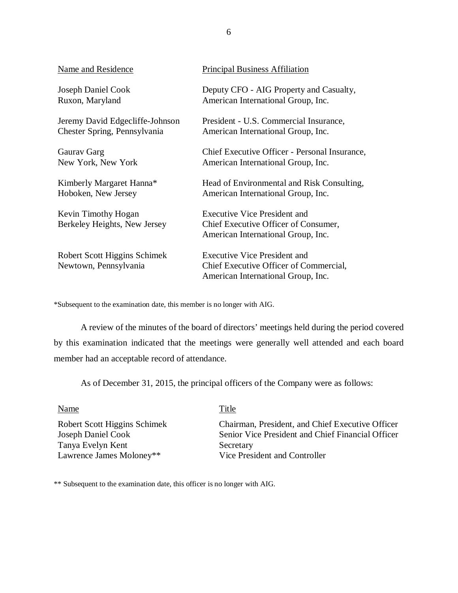| <b>Name and Residence</b>                             | <b>Principal Business Affiliation</b>                                                                               |
|-------------------------------------------------------|---------------------------------------------------------------------------------------------------------------------|
| Joseph Daniel Cook                                    | Deputy CFO - AIG Property and Casualty,                                                                             |
| Ruxon, Maryland                                       | American International Group, Inc.                                                                                  |
| Jeremy David Edgecliffe-Johnson                       | President - U.S. Commercial Insurance,                                                                              |
| Chester Spring, Pennsylvania                          | American International Group, Inc.                                                                                  |
| Gauray Garg                                           | Chief Executive Officer - Personal Insurance,                                                                       |
| New York, New York                                    | American International Group, Inc.                                                                                  |
| Kimberly Margaret Hanna*                              | Head of Environmental and Risk Consulting,                                                                          |
| Hoboken, New Jersey                                   | American International Group, Inc.                                                                                  |
| Kevin Timothy Hogan<br>Berkeley Heights, New Jersey   | <b>Executive Vice President and</b><br>Chief Executive Officer of Consumer,<br>American International Group, Inc.   |
| Robert Scott Higgins Schimek<br>Newtown, Pennsylvania | <b>Executive Vice President and</b><br>Chief Executive Officer of Commercial,<br>American International Group, Inc. |

\*Subsequent to the examination date, this member is no longer with AIG.

A review of the minutes of the board of directors' meetings held during the period covered by this examination indicated that the meetings were generally well attended and each board member had an acceptable record of attendance.

As of December 31, 2015, the principal officers of the Company were as follows:

Name Title

Tanya Evelyn Kent Secretary Lawrence James Moloney\*\* Vice President and Controller

Robert Scott Higgins Schimek Chairman, President, and Chief Executive Officer<br>Joseph Daniel Cook Senior Vice President and Chief Financial Officer Senior Vice President and Chief Financial Officer

\*\* Subsequent to the examination date, this officer is no longer with AIG.

6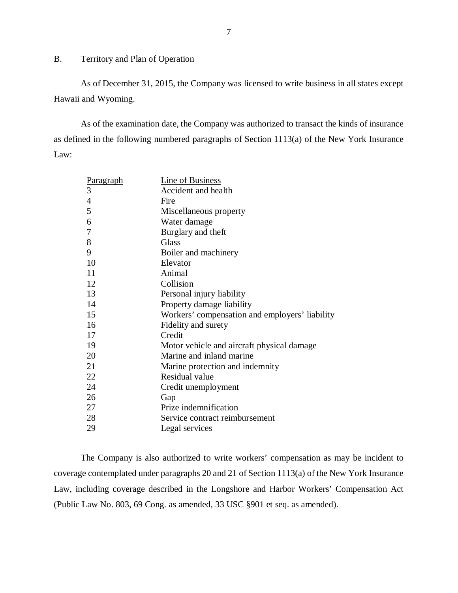# <span id="page-8-0"></span>B. Territory and Plan of Operation

As of December 31, 2015, the Company was licensed to write business in all states except Hawaii and Wyoming.

As of the examination date, the Company was authorized to transact the kinds of insurance as defined in the following numbered paragraphs of Section 1113(a) of the New York Insurance Law:

| Paragraph      | <b>Line of Business</b>                        |
|----------------|------------------------------------------------|
| 3              | Accident and health                            |
| $\overline{4}$ | Fire                                           |
| 5              | Miscellaneous property                         |
| 6              | Water damage                                   |
| 7              | Burglary and theft                             |
| 8              | Glass                                          |
| 9              | Boiler and machinery                           |
| 10             | Elevator                                       |
| 11             | Animal                                         |
| 12             | Collision                                      |
| 13             | Personal injury liability                      |
| 14             | Property damage liability                      |
| 15             | Workers' compensation and employers' liability |
| 16             | Fidelity and surety                            |
| 17             | Credit                                         |
| 19             | Motor vehicle and aircraft physical damage     |
| 20             | Marine and inland marine                       |
| 21             | Marine protection and indemnity                |
| 22             | Residual value                                 |
| 24             | Credit unemployment                            |
| 26             | Gap                                            |
| 27             | Prize indemnification                          |
| 28             | Service contract reimbursement                 |
| 29             | Legal services                                 |

The Company is also authorized to write workers' compensation as may be incident to coverage contemplated under paragraphs 20 and 21 of Section 1113(a) of the New York Insurance Law, including coverage described in the Longshore and Harbor Workers' Compensation Act (Public Law No. 803, 69 Cong. as amended, 33 USC §901 et seq. as amended).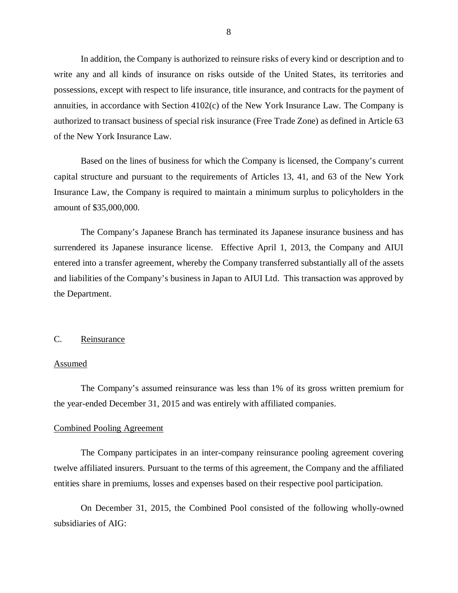<span id="page-9-0"></span>In addition, the Company is authorized to reinsure risks of every kind or description and to write any and all kinds of insurance on risks outside of the United States, its territories and possessions, except with respect to life insurance, title insurance, and contracts for the payment of annuities, in accordance with Section 4102(c) of the New York Insurance Law. The Company is authorized to transact business of special risk insurance (Free Trade Zone) as defined in Article 63 of the New York Insurance Law.

Based on the lines of business for which the Company is licensed, the Company's current capital structure and pursuant to the requirements of Articles 13, 41, and 63 of the New York Insurance Law, the Company is required to maintain a minimum surplus to policyholders in the amount of \$35,000,000.

The Company's Japanese Branch has terminated its Japanese insurance business and has surrendered its Japanese insurance license. Effective April 1, 2013, the Company and AIUI entered into a transfer agreement, whereby the Company transferred substantially all of the assets and liabilities of the Company's business in Japan to AIUI Ltd. This transaction was approved by the Department.

# C. Reinsurance

#### Assumed

The Company's assumed reinsurance was less than 1% of its gross written premium for the year-ended December 31, 2015 and was entirely with affiliated companies.

### Combined Pooling Agreement

The Company participates in an inter-company reinsurance pooling agreement covering twelve affiliated insurers. Pursuant to the terms of this agreement, the Company and the affiliated entities share in premiums, losses and expenses based on their respective pool participation.

On December 31, 2015, the Combined Pool consisted of the following wholly-owned subsidiaries of AIG: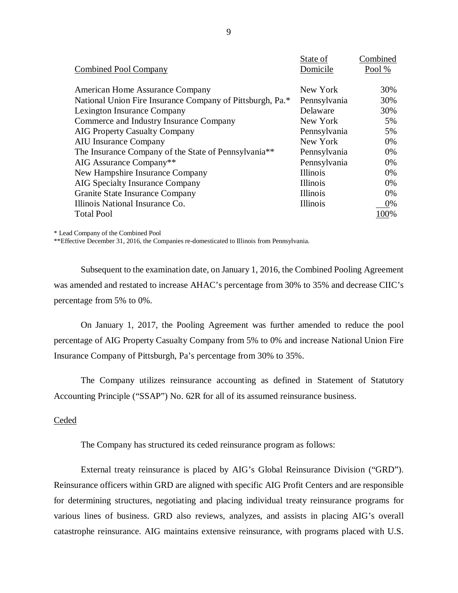|                                                                  | State of        | Combined |
|------------------------------------------------------------------|-----------------|----------|
| <b>Combined Pool Company</b>                                     | Domicile        | Pool%    |
|                                                                  |                 |          |
| American Home Assurance Company                                  | New York        | 30%      |
| National Union Fire Insurance Company of Pittsburgh, Pa.*        | Pennsylvania    | 30%      |
| Lexington Insurance Company                                      | Delaware        | 30%      |
| Commerce and Industry Insurance Company                          | New York        | 5%       |
| <b>AIG Property Casualty Company</b>                             | Pennsylvania    | 5%       |
| <b>AIU</b> Insurance Company                                     | New York        | 0%       |
| The Insurance Company of the State of Pennsylvania <sup>**</sup> | Pennsylvania    | 0%       |
| AIG Assurance Company**                                          | Pennsylvania    | 0%       |
| New Hampshire Insurance Company                                  | Illinois        | 0%       |
| <b>AIG Specialty Insurance Company</b>                           | <b>Illinois</b> | 0%       |
| Granite State Insurance Company                                  | Illinois        | 0%       |
| Illinois National Insurance Co.                                  | <b>Illinois</b> | 0%       |
| <b>Total Pool</b>                                                |                 | 100%     |

\* Lead Company of the Combined Pool

\*\*Effective December 31, 2016, the Companies re-domesticated to Illinois from Pennsylvania.

Subsequent to the examination date, on January 1, 2016, the Combined Pooling Agreement was amended and restated to increase AHAC's percentage from 30% to 35% and decrease CIIC's percentage from 5% to 0%.

On January 1, 2017, the Pooling Agreement was further amended to reduce the pool percentage of AIG Property Casualty Company from 5% to 0% and increase National Union Fire Insurance Company of Pittsburgh, Pa's percentage from 30% to 35%.

The Company utilizes reinsurance accounting as defined in Statement of Statutory Accounting Principle ("SSAP") No. 62R for all of its assumed reinsurance business.

# Ceded

The Company has structured its ceded reinsurance program as follows:

External treaty reinsurance is placed by AIG's Global Reinsurance Division ("GRD"). Reinsurance officers within GRD are aligned with specific AIG Profit Centers and are responsible for determining structures, negotiating and placing individual treaty reinsurance programs for various lines of business. GRD also reviews, analyzes, and assists in placing AIG's overall catastrophe reinsurance. AIG maintains extensive reinsurance, with programs placed with U.S.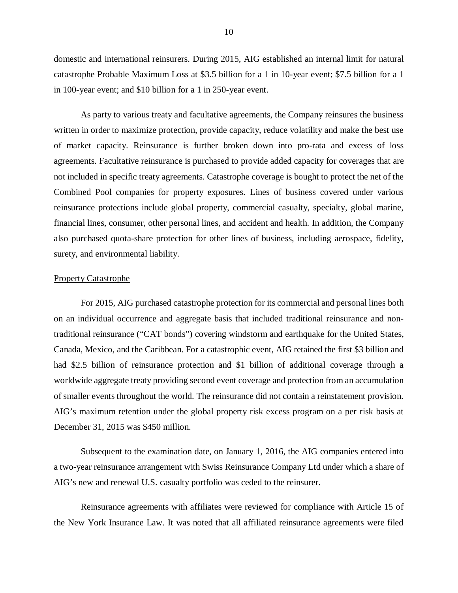domestic and international reinsurers. During 2015, AIG established an internal limit for natural catastrophe Probable Maximum Loss at \$3.5 billion for a 1 in 10-year event; \$7.5 billion for a 1 in 100-year event; and \$10 billion for a 1 in 250-year event.

As party to various treaty and facultative agreements, the Company reinsures the business written in order to maximize protection, provide capacity, reduce volatility and make the best use of market capacity. Reinsurance is further broken down into pro-rata and excess of loss agreements. Facultative reinsurance is purchased to provide added capacity for coverages that are not included in specific treaty agreements. Catastrophe coverage is bought to protect the net of the Combined Pool companies for property exposures. Lines of business covered under various reinsurance protections include global property, commercial casualty, specialty, global marine, financial lines, consumer, other personal lines, and accident and health. In addition, the Company also purchased quota-share protection for other lines of business, including aerospace, fidelity, surety, and environmental liability.

#### Property Catastrophe

For 2015, AIG purchased catastrophe protection for its commercial and personal lines both on an individual occurrence and aggregate basis that included traditional reinsurance and nontraditional reinsurance ("CAT bonds") covering windstorm and earthquake for the United States, Canada, Mexico, and the Caribbean. For a catastrophic event, AIG retained the first \$3 billion and had \$2.5 billion of reinsurance protection and \$1 billion of additional coverage through a worldwide aggregate treaty providing second event coverage and protection from an accumulation of smaller events throughout the world. The reinsurance did not contain a reinstatement provision. AIG's maximum retention under the global property risk excess program on a per risk basis at December 31, 2015 was \$450 million.

Subsequent to the examination date, on January 1, 2016, the AIG companies entered into a two-year reinsurance arrangement with Swiss Reinsurance Company Ltd under which a share of AIG's new and renewal U.S. casualty portfolio was ceded to the reinsurer.

Reinsurance agreements with affiliates were reviewed for compliance with Article 15 of the New York Insurance Law. It was noted that all affiliated reinsurance agreements were filed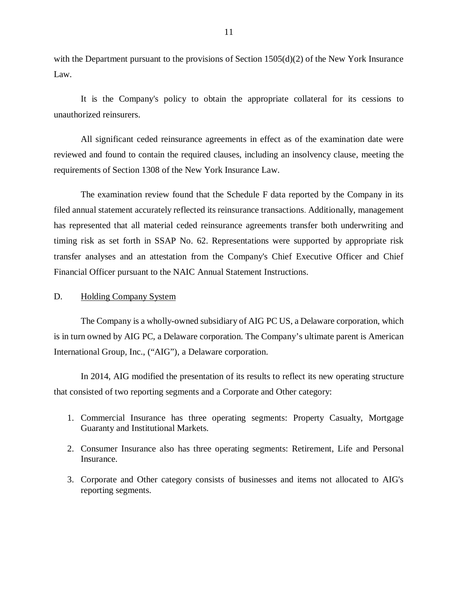<span id="page-12-0"></span>with the Department pursuant to the provisions of Section  $1505(d)(2)$  of the New York Insurance Law.

It is the Company's policy to obtain the appropriate collateral for its cessions to unauthorized reinsurers.

All significant ceded reinsurance agreements in effect as of the examination date were reviewed and found to contain the required clauses, including an insolvency clause, meeting the requirements of Section 1308 of the New York Insurance Law.

The examination review found that the Schedule F data reported by the Company in its filed annual statement accurately reflected its reinsurance transactions. Additionally, management has represented that all material ceded reinsurance agreements transfer both underwriting and timing risk as set forth in SSAP No. 62. Representations were supported by appropriate risk transfer analyses and an attestation from the Company's Chief Executive Officer and Chief Financial Officer pursuant to the NAIC Annual Statement Instructions.

## D. Holding Company System

The Company is a wholly-owned subsidiary of AIG PC US, a Delaware corporation, which is in turn owned by AIG PC, a Delaware corporation. The Company's ultimate parent is American International Group, Inc., ("AIG"), a Delaware corporation.

In 2014, AIG modified the presentation of its results to reflect its new operating structure that consisted of two reporting segments and a Corporate and Other category:

- 1. Commercial Insurance has three operating segments: Property Casualty, Mortgage Guaranty and Institutional Markets.
- 2. Consumer Insurance also has three operating segments: Retirement, Life and Personal Insurance.
- 3. Corporate and Other category consists of businesses and items not allocated to AIG's reporting segments.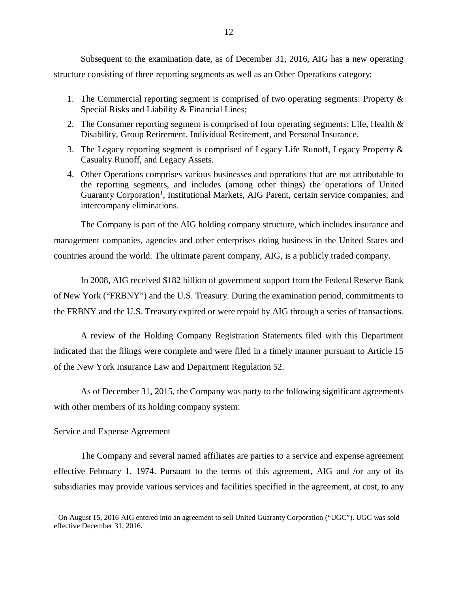Subsequent to the examination date, as of December 31, 2016, AIG has a new operating structure consisting of three reporting segments as well as an Other Operations category:

- 1. The Commercial reporting segment is comprised of two operating segments: Property & Special Risks and Liability & Financial Lines;
- 2. The Consumer reporting segment is comprised of four operating segments: Life, Health & Disability, Group Retirement, Individual Retirement, and Personal Insurance.
- 3. The Legacy reporting segment is comprised of Legacy Life Runoff, Legacy Property & Casualty Runoff, and Legacy Assets.
- 4. Other Operations comprises various businesses and operations that are not attributable to the reporting segments, and includes (among other things) the operations of United Guaranty Corporation<sup>1</sup>, Institutional Markets, AIG Parent, certain service companies, and intercompany eliminations.

The Company is part of the AIG holding company structure, which includes insurance and management companies, agencies and other enterprises doing business in the United States and countries around the world. The ultimate parent company, AIG, is a publicly traded company.

In 2008, AIG received \$182 billion of government support from the Federal Reserve Bank of New York ("FRBNY") and the U.S. Treasury. During the examination period, commitments to the FRBNY and the U.S. Treasury expired or were repaid by AIG through a series of transactions.

A review of the Holding Company Registration Statements filed with this Department indicated that the filings were complete and were filed in a timely manner pursuant to Article 15 of the New York Insurance Law and Department Regulation 52.

As of December 31, 2015, the Company was party to the following significant agreements with other members of its holding company system:

#### Service and Expense Agreement

The Company and several named affiliates are parties to a service and expense agreement effective February 1, 1974. Pursuant to the terms of this agreement, AIG and /or any of its subsidiaries may provide various services and facilities specified in the agreement, at cost, to any

 $1$  On August 15, 2016 AIG entered into an agreement to sell United Guaranty Corporation ("UGC"). UGC was sold effective December 31, 2016.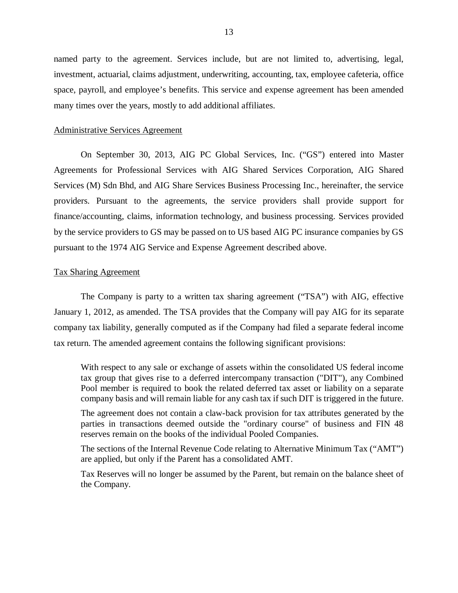named party to the agreement. Services include, but are not limited to, advertising, legal, investment, actuarial, claims adjustment, underwriting, accounting, tax, employee cafeteria, office space, payroll, and employee's benefits. This service and expense agreement has been amended many times over the years, mostly to add additional affiliates.

#### Administrative Services Agreement

On September 30, 2013, AIG PC Global Services, Inc. ("GS") entered into Master Agreements for Professional Services with AIG Shared Services Corporation, AIG Shared Services (M) Sdn Bhd, and AIG Share Services Business Processing Inc., hereinafter, the service providers. Pursuant to the agreements, the service providers shall provide support for finance/accounting, claims, information technology, and business processing. Services provided by the service providers to GS may be passed on to US based AIG PC insurance companies by GS pursuant to the 1974 AIG Service and Expense Agreement described above.

#### Tax Sharing Agreement

The Company is party to a written tax sharing agreement ("TSA") with AIG, effective January 1, 2012, as amended. The TSA provides that the Company will pay AIG for its separate company tax liability, generally computed as if the Company had filed a separate federal income tax return. The amended agreement contains the following significant provisions:

With respect to any sale or exchange of assets within the consolidated US federal income tax group that gives rise to a deferred intercompany transaction ("DIT"), any Combined Pool member is required to book the related deferred tax asset or liability on a separate company basis and will remain liable for any cash tax if such DIT is triggered in the future.

The agreement does not contain a claw-back provision for tax attributes generated by the parties in transactions deemed outside the "ordinary course" of business and FIN 48 reserves remain on the books of the individual Pooled Companies.

The sections of the Internal Revenue Code relating to Alternative Minimum Tax ("AMT") are applied, but only if the Parent has a consolidated AMT.

Tax Reserves will no longer be assumed by the Parent, but remain on the balance sheet of the Company.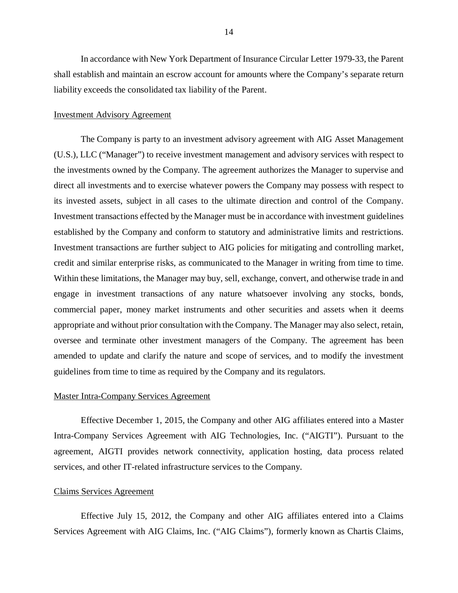In accordance with New York Department of Insurance Circular Letter 1979-33, the Parent shall establish and maintain an escrow account for amounts where the Company's separate return liability exceeds the consolidated tax liability of the Parent.

#### Investment Advisory Agreement

The Company is party to an investment advisory agreement with AIG Asset Management (U.S.), LLC ("Manager") to receive investment management and advisory services with respect to the investments owned by the Company. The agreement authorizes the Manager to supervise and direct all investments and to exercise whatever powers the Company may possess with respect to its invested assets, subject in all cases to the ultimate direction and control of the Company. Investment transactions effected by the Manager must be in accordance with investment guidelines established by the Company and conform to statutory and administrative limits and restrictions. Investment transactions are further subject to AIG policies for mitigating and controlling market, credit and similar enterprise risks, as communicated to the Manager in writing from time to time. Within these limitations, the Manager may buy, sell, exchange, convert, and otherwise trade in and engage in investment transactions of any nature whatsoever involving any stocks, bonds, commercial paper, money market instruments and other securities and assets when it deems appropriate and without prior consultation with the Company. The Manager may also select, retain, oversee and terminate other investment managers of the Company. The agreement has been amended to update and clarify the nature and scope of services, and to modify the investment guidelines from time to time as required by the Company and its regulators.

### Master Intra-Company Services Agreement

Effective December 1, 2015, the Company and other AIG affiliates entered into a Master Intra-Company Services Agreement with AIG Technologies, Inc. ("AIGTI"). Pursuant to the agreement, AIGTI provides network connectivity, application hosting, data process related services, and other IT-related infrastructure services to the Company.

#### Claims Services Agreement

Effective July 15, 2012, the Company and other AIG affiliates entered into a Claims Services Agreement with AIG Claims, Inc. ("AIG Claims"), formerly known as Chartis Claims,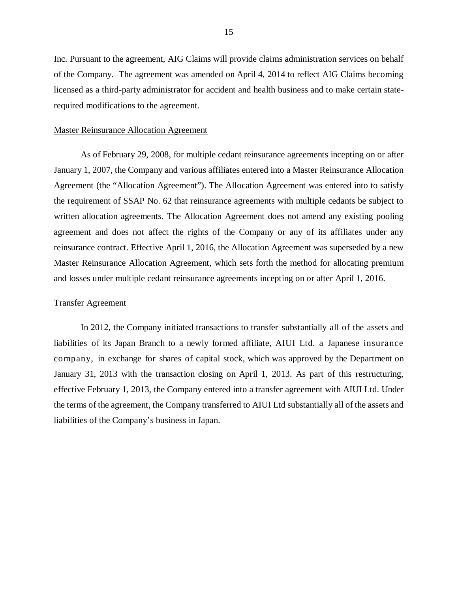Inc. Pursuant to the agreement, AIG Claims will provide claims administration services on behalf of the Company. The agreement was amended on April 4, 2014 to reflect AIG Claims becoming licensed as a third-party administrator for accident and health business and to make certain staterequired modifications to the agreement.

#### Master Reinsurance Allocation Agreement

As of February 29, 2008, for multiple cedant reinsurance agreements incepting on or after January 1, 2007, the Company and various affiliates entered into a Master Reinsurance Allocation Agreement (the "Allocation Agreement"). The Allocation Agreement was entered into to satisfy the requirement of SSAP No. 62 that reinsurance agreements with multiple cedants be subject to written allocation agreements. The Allocation Agreement does not amend any existing pooling agreement and does not affect the rights of the Company or any of its affiliates under any reinsurance contract. Effective April 1, 2016, the Allocation Agreement was superseded by a new Master Reinsurance Allocation Agreement, which sets forth the method for allocating premium and losses under multiple cedant reinsurance agreements incepting on or after April 1, 2016.

### Transfer Agreement

In 2012, the Company initiated transactions to transfer substantially all of the assets and liabilities of its Japan Branch to a newly formed affiliate, AIUI Ltd. a Japanese insurance company, in exchange for shares of capital stock, which was approved by the Department on January 31, 2013 with the transaction closing on April 1, 2013. As part of this restructuring, effective February 1, 2013, the Company entered into a transfer agreement with AIUI Ltd. Under the terms of the agreement, the Company transferred to AIUI Ltd substantially all of the assets and liabilities of the Company's business in Japan.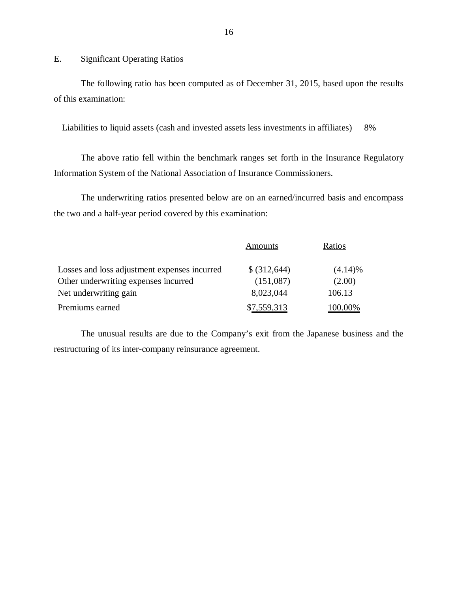# E. Significant Operating Ratios

The following ratio has been computed as of December 31, 2015, based upon the results of this examination:

Liabilities to liquid assets (cash and invested assets less investments in affiliates) 8%

The above ratio fell within the benchmark ranges set forth in the Insurance Regulatory Information System of the National Association of Insurance Commissioners.

The underwriting ratios presented below are on an earned/incurred basis and encompass the two and a half-year period covered by this examination:

|                                              | Amounts      | Ratios  |
|----------------------------------------------|--------------|---------|
| Losses and loss adjustment expenses incurred | \$ (312,644) | (4.14)% |
| Other underwriting expenses incurred         | (151,087)    | (2.00)  |
| Net underwriting gain                        | 8,023,044    | 106.13  |
| Premiums earned                              | \$7,559,313  | 100.00% |

The unusual results are due to the Company's exit from the Japanese business and the restructuring of its inter-company reinsurance agreement.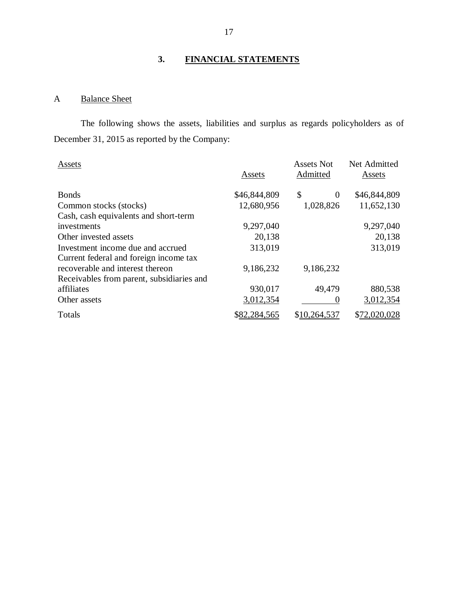# **3. FINANCIAL STATEMENTS**

# A Balance Sheet

The following shows the assets, liabilities and surplus as regards policyholders as of December 31, 2015 as reported by the Company:

| Assets                                    | Assets       | <b>Assets Not</b><br>Admitted | Net Admitted<br>Assets |
|-------------------------------------------|--------------|-------------------------------|------------------------|
| <b>Bonds</b>                              | \$46,844,809 | \$<br>$\Omega$                | \$46,844,809           |
| Common stocks (stocks)                    | 12,680,956   | 1,028,826                     | 11,652,130             |
| Cash, cash equivalents and short-term     |              |                               |                        |
| investments                               | 9,297,040    |                               | 9,297,040              |
| Other invested assets                     | 20,138       |                               | 20,138                 |
| Investment income due and accrued         | 313,019      |                               | 313,019                |
| Current federal and foreign income tax    |              |                               |                        |
| recoverable and interest thereon          | 9,186,232    | 9,186,232                     |                        |
| Receivables from parent, subsidiaries and |              |                               |                        |
| affiliates                                | 930,017      | 49,479                        | 880,538                |
| Other assets                              | 3,012,354    |                               | 3,012,354              |
| Totals                                    | \$82,284,565 | \$10,264,537                  | \$72,020,028           |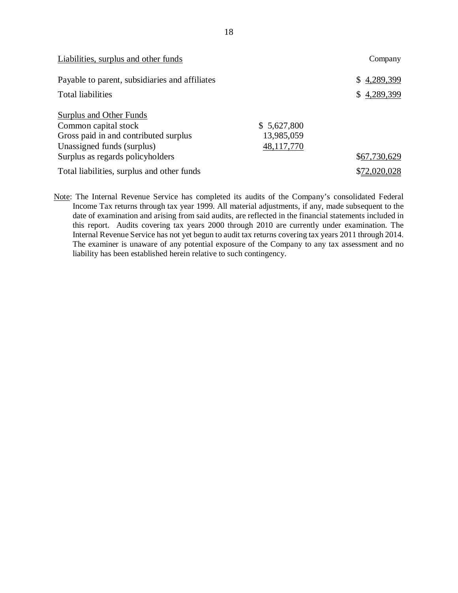| Liabilities, surplus and other funds           |             | Company      |
|------------------------------------------------|-------------|--------------|
| Payable to parent, subsidiaries and affiliates |             | \$4,289,399  |
| <b>Total liabilities</b>                       |             | \$4,289,399  |
| Surplus and Other Funds                        |             |              |
| Common capital stock                           | \$5,627,800 |              |
| Gross paid in and contributed surplus          | 13,985,059  |              |
| Unassigned funds (surplus)                     | 48,117,770  |              |
| Surplus as regards policyholders               |             | \$67,730,629 |
| Total liabilities, surplus and other funds     |             | \$72,020,028 |

Note: The Internal Revenue Service has completed its audits of the Company's consolidated Federal Income Tax returns through tax year 1999. All material adjustments, if any, made subsequent to the date of examination and arising from said audits, are reflected in the financial statements included in this report. Audits covering tax years 2000 through 2010 are currently under examination. The Internal Revenue Service has not yet begun to audit tax returns covering tax years 2011 through 2014. The examiner is unaware of any potential exposure of the Company to any tax assessment and no liability has been established herein relative to such contingency.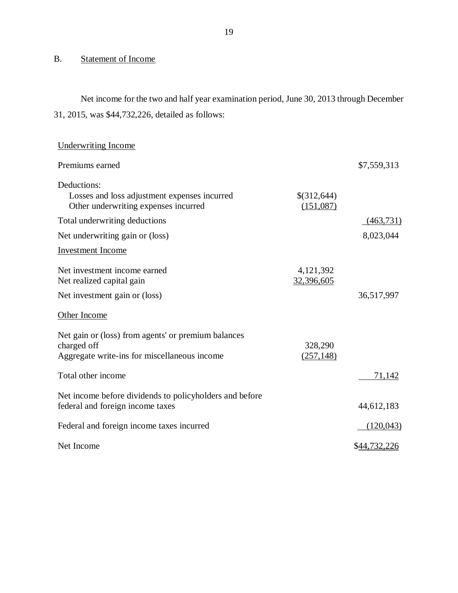# B. Statement of Income

Net income for the two and half year examination period, June 30, 2013 through December 31, 2015, was \$44,732,226, detailed as follows:

| <b>Underwriting Income</b>                                                                                         |                          |              |
|--------------------------------------------------------------------------------------------------------------------|--------------------------|--------------|
| Premiums earned                                                                                                    |                          | \$7,559,313  |
| Deductions:<br>Losses and loss adjustment expenses incurred<br>Other underwriting expenses incurred                | \$(312,644)<br>(151,087) |              |
| Total underwriting deductions                                                                                      |                          | (463,731)    |
| Net underwriting gain or (loss)                                                                                    |                          | 8,023,044    |
| <b>Investment Income</b>                                                                                           |                          |              |
| Net investment income earned<br>Net realized capital gain                                                          | 4,121,392<br>32,396,605  |              |
| Net investment gain or (loss)                                                                                      |                          | 36,517,997   |
| Other Income                                                                                                       |                          |              |
| Net gain or (loss) from agents' or premium balances<br>charged off<br>Aggregate write-ins for miscellaneous income | 328,290<br>(257, 148)    |              |
| Total other income                                                                                                 |                          | 71,142       |
| Net income before dividends to policyholders and before<br>federal and foreign income taxes                        |                          | 44,612,183   |
| Federal and foreign income taxes incurred                                                                          |                          | (120, 043)   |
| Net Income                                                                                                         |                          | \$44,732,226 |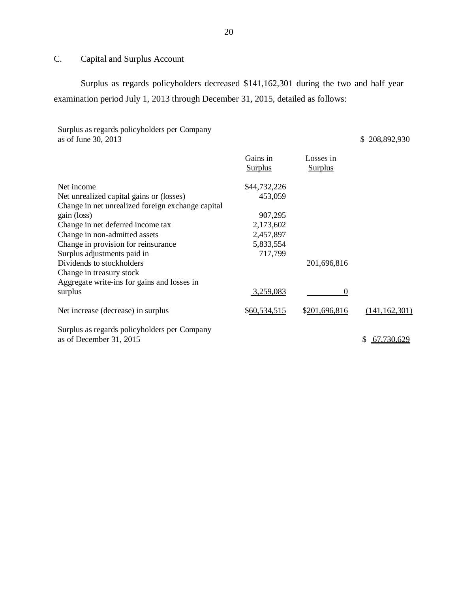# C. Capital and Surplus Account

Surplus as regards policyholders decreased \$141,162,301 during the two and half year examination period July 1, 2013 through December 31, 2015, detailed as follows:

Surplus as regards policyholders per Company as of June 30, 2013 \$ 208,892,930

|                                                   | Gains in<br><b>Surplus</b> | Losses in<br><b>Surplus</b> |                  |
|---------------------------------------------------|----------------------------|-----------------------------|------------------|
| Net income                                        | \$44,732,226               |                             |                  |
| Net unrealized capital gains or (losses)          | 453,059                    |                             |                  |
| Change in net unrealized foreign exchange capital |                            |                             |                  |
| gain (loss)                                       | 907,295                    |                             |                  |
| Change in net deferred income tax                 | 2,173,602                  |                             |                  |
| Change in non-admitted assets                     | 2,457,897                  |                             |                  |
| Change in provision for reinsurance               | 5,833,554                  |                             |                  |
| Surplus adjustments paid in                       | 717,799                    |                             |                  |
| Dividends to stockholders                         |                            | 201,696,816                 |                  |
| Change in treasury stock                          |                            |                             |                  |
| Aggregate write-ins for gains and losses in       |                            |                             |                  |
| surplus                                           | 3,259,083                  | $\Omega$                    |                  |
| Net increase (decrease) in surplus                | \$60,534,515               | \$201,696,816               | (141, 162, 301)  |
| Surplus as regards policyholders per Company      |                            |                             |                  |
| as of December 31, 2015                           |                            |                             | 67,730,629<br>\$ |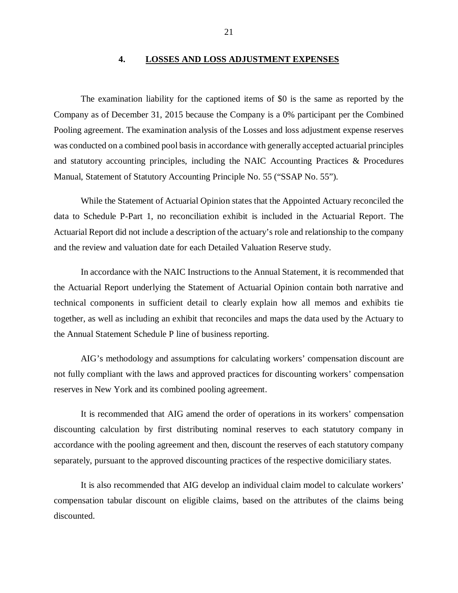### **4. LOSSES AND LOSS ADJUSTMENT EXPENSES**

<span id="page-22-0"></span>The examination liability for the captioned items of \$0 is the same as reported by the Company as of December 31, 2015 because the Company is a 0% participant per the Combined Pooling agreement. The examination analysis of the Losses and loss adjustment expense reserves was conducted on a combined pool basis in accordance with generally accepted actuarial principles and statutory accounting principles, including the NAIC Accounting Practices & Procedures Manual, Statement of Statutory Accounting Principle No. 55 ("SSAP No. 55").

While the Statement of Actuarial Opinion states that the Appointed Actuary reconciled the data to Schedule P-Part 1, no reconciliation exhibit is included in the Actuarial Report. The Actuarial Report did not include a description of the actuary's role and relationship to the company and the review and valuation date for each Detailed Valuation Reserve study.

In accordance with the NAIC Instructions to the Annual Statement, it is recommended that the Actuarial Report underlying the Statement of Actuarial Opinion contain both narrative and technical components in sufficient detail to clearly explain how all memos and exhibits tie together, as well as including an exhibit that reconciles and maps the data used by the Actuary to the Annual Statement Schedule P line of business reporting.

AIG's methodology and assumptions for calculating workers' compensation discount are not fully compliant with the laws and approved practices for discounting workers' compensation reserves in New York and its combined pooling agreement.

It is recommended that AIG amend the order of operations in its workers' compensation discounting calculation by first distributing nominal reserves to each statutory company in accordance with the pooling agreement and then, discount the reserves of each statutory company separately, pursuant to the approved discounting practices of the respective domiciliary states.

It is also recommended that AIG develop an individual claim model to calculate workers' compensation tabular discount on eligible claims, based on the attributes of the claims being discounted.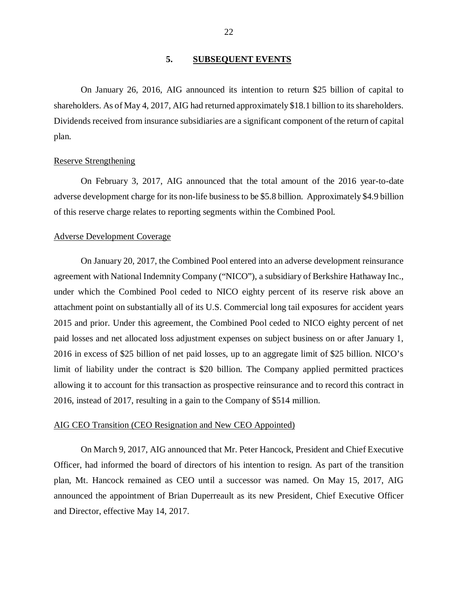# **5. SUBSEQUENT EVENTS**

<span id="page-23-0"></span>On January 26, 2016, AIG announced its intention to return \$25 billion of capital to shareholders. As of May 4, 2017, AIG had returned approximately \$18.1 billion to its shareholders. Dividends received from insurance subsidiaries are a significant component of the return of capital plan.

#### Reserve Strengthening

On February 3, 2017, AIG announced that the total amount of the 2016 year-to-date adverse development charge for its non-life business to be \$5.8 billion. Approximately \$4.9 billion of this reserve charge relates to reporting segments within the Combined Pool.

### Adverse Development Coverage

On January 20, 2017, the Combined Pool entered into an adverse development reinsurance agreement with National Indemnity Company ("NICO"), a subsidiary of Berkshire Hathaway Inc., under which the Combined Pool ceded to NICO eighty percent of its reserve risk above an attachment point on substantially all of its U.S. Commercial long tail exposures for accident years 2015 and prior. Under this agreement, the Combined Pool ceded to NICO eighty percent of net paid losses and net allocated loss adjustment expenses on subject business on or after January 1, 2016 in excess of \$25 billion of net paid losses, up to an aggregate limit of \$25 billion. NICO's limit of liability under the contract is \$20 billion. The Company applied permitted practices allowing it to account for this transaction as prospective reinsurance and to record this contract in 2016, instead of 2017, resulting in a gain to the Company of \$514 million.

#### AIG CEO Transition (CEO Resignation and New CEO Appointed)

On March 9, 2017, AIG announced that Mr. Peter Hancock, President and Chief Executive Officer, had informed the board of directors of his intention to resign. As part of the transition plan, Mt. Hancock remained as CEO until a successor was named. On May 15, 2017, AIG announced the appointment of Brian Duperreault as its new President, Chief Executive Officer and Director, effective May 14, 2017.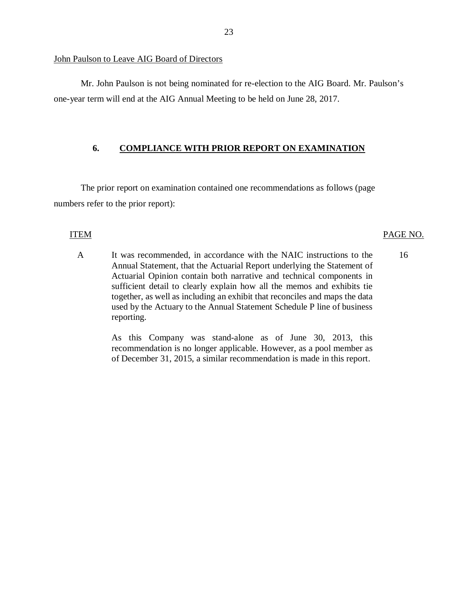John Paulson to Leave AIG Board of Directors

Mr. John Paulson is not being nominated for re-election to the AIG Board. Mr. Paulson's one-year term will end at the AIG Annual Meeting to be held on June 28, 2017.

# **6. COMPLIANCE WITH PRIOR REPORT ON EXAMINATION**

The prior report on examination contained one recommendations as follows (page numbers refer to the prior report):

# ITEM PAGE NO.

A It was recommended, in accordance with the NAIC instructions to the Annual Statement, that the Actuarial Report underlying the Statement of Actuarial Opinion contain both narrative and technical components in sufficient detail to clearly explain how all the memos and exhibits tie together, as well as including an exhibit that reconciles and maps the data used by the Actuary to the Annual Statement Schedule P line of business reporting. 16

> As this Company was stand-alone as of June 30, 2013, this recommendation is no longer applicable. However, as a pool member as of December 31, 2015, a similar recommendation is made in this report.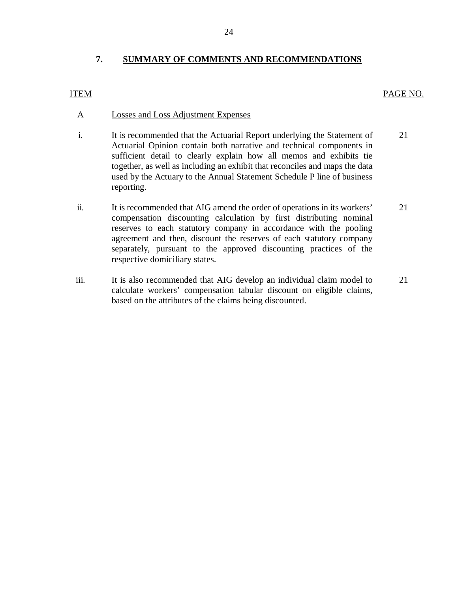# **7. SUMMARY OF COMMENTS AND RECOMMENDATIONS**

# ITEM PAGE NO.

# A Losses and Loss Adjustment Expenses

- i. It is recommended that the Actuarial Report underlying the Statement of Actuarial Opinion contain both narrative and technical components in sufficient detail to clearly explain how all memos and exhibits tie together, as well as including an exhibit that reconciles and maps the data used by the Actuary to the Annual Statement Schedule P line of business reporting. 21
- ii. It is recommended that AIG amend the order of operations in its workers' compensation discounting calculation by first distributing nominal reserves to each statutory company in accordance with the pooling agreement and then, discount the reserves of each statutory company separately, pursuant to the approved discounting practices of the respective domiciliary states. 21
- iii. It is also recommended that AIG develop an individual claim model to calculate workers' compensation tabular discount on eligible claims, based on the attributes of the claims being discounted. 21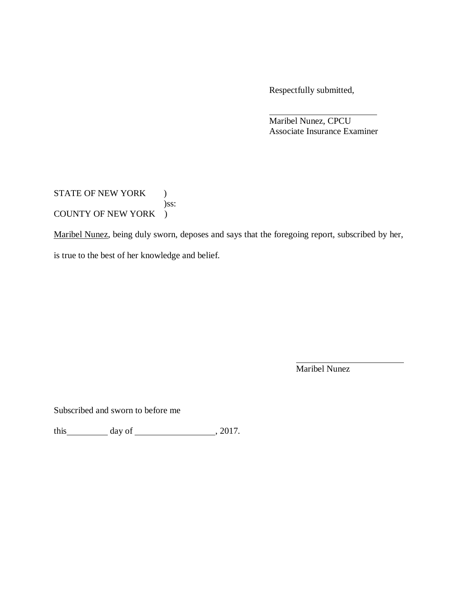Respectfully submitted,

Maribel Nunez, CPCU Associate Insurance Examiner

STATE OF NEW YORK ) )ss: COUNTY OF NEW YORK )

Maribel Nunez, being duly sworn, deposes and says that the foregoing report, subscribed by her,

is true to the best of her knowledge and belief.

Maribel Nunez

Subscribed and sworn to before me

this  $\qquad \qquad \text{day of} \qquad \qquad 2017.$